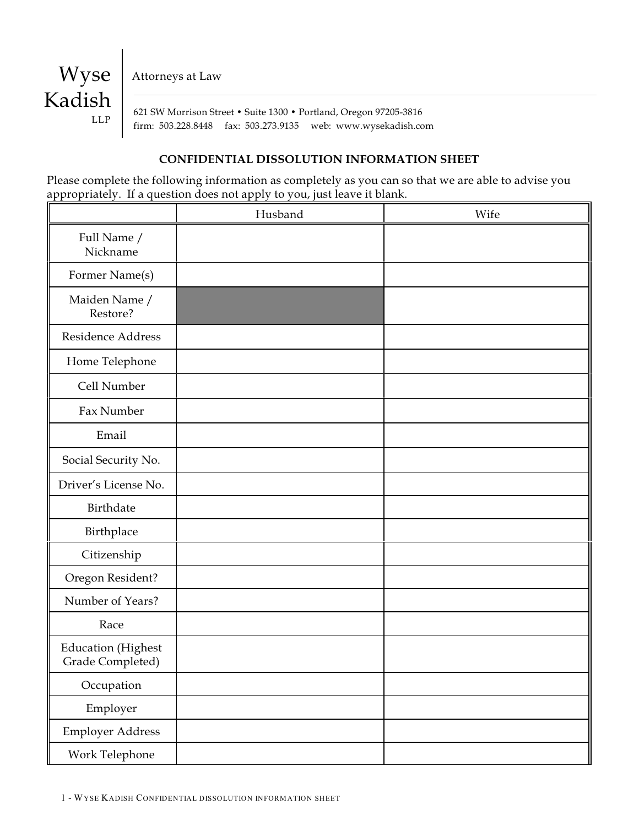Attorneys at Law

Wyse

LLP

Kadish

 621 SW Morrison Street • Suite 1300 • Portland, Oregon 97205-3816 firm: 503.228.8448 fax: 503.273.9135 web: www.wysekadish.com

#### **CONFIDENTIAL DISSOLUTION INFORMATION SHEET**

Please complete the following information as completely as you can so that we are able to advise you appropriately. If a question does not apply to you, just leave it blank.

|                                               | Husband | Wife |
|-----------------------------------------------|---------|------|
| Full Name /<br>Nickname                       |         |      |
| Former Name(s)                                |         |      |
| Maiden Name /<br>Restore?                     |         |      |
| Residence Address                             |         |      |
| Home Telephone                                |         |      |
| Cell Number                                   |         |      |
| Fax Number                                    |         |      |
| Email                                         |         |      |
| Social Security No.                           |         |      |
| Driver's License No.                          |         |      |
| Birthdate                                     |         |      |
| Birthplace                                    |         |      |
| Citizenship                                   |         |      |
| Oregon Resident?                              |         |      |
| Number of Years?                              |         |      |
| Race                                          |         |      |
| <b>Education</b> (Highest<br>Grade Completed) |         |      |
| Occupation                                    |         |      |
| Employer                                      |         |      |
| Employer Address                              |         |      |
| Work Telephone                                |         |      |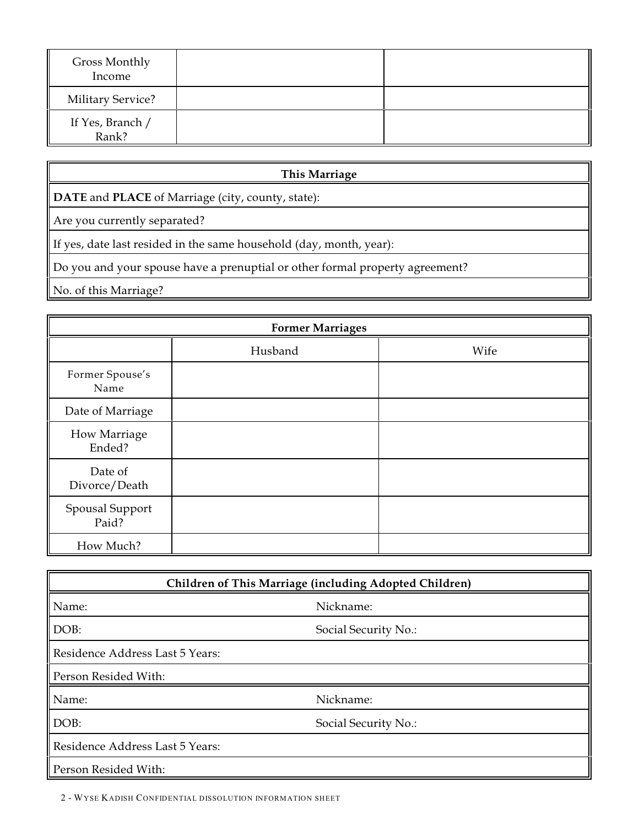| Gross Monthly<br>Income   |  |
|---------------------------|--|
| <b>Military Service?</b>  |  |
| If Yes, Branch /<br>Rank? |  |

## **This Marriage**

**DATE** and **PLACE** of Marriage (city, county, state):

Are you currently separated?

If yes, date last resided in the same household (day, month, year):

Do you and your spouse have a prenuptial or other formal property agreement?

No. of this Marriage?

| <b>Former Marriages</b>  |         |      |  |
|--------------------------|---------|------|--|
|                          | Husband | Wife |  |
| Former Spouse's<br>Name  |         |      |  |
| Date of Marriage         |         |      |  |
| How Marriage<br>Ended?   |         |      |  |
| Date of<br>Divorce/Death |         |      |  |
| Spousal Support<br>Paid? |         |      |  |
| How Much?                |         |      |  |

| Children of This Marriage (including Adopted Children) |                      |  |
|--------------------------------------------------------|----------------------|--|
| Name:                                                  | Nickname:            |  |
| DOB:                                                   | Social Security No.: |  |
| Residence Address Last 5 Years:                        |                      |  |
| Person Resided With:                                   |                      |  |
| Name:                                                  | Nickname:            |  |
| DOB:                                                   | Social Security No.: |  |
| Residence Address Last 5 Years:                        |                      |  |
| Person Resided With:                                   |                      |  |

2 - WYSE KADISH CONFIDENTIAL DISSOLUTION INFORMATION SHEET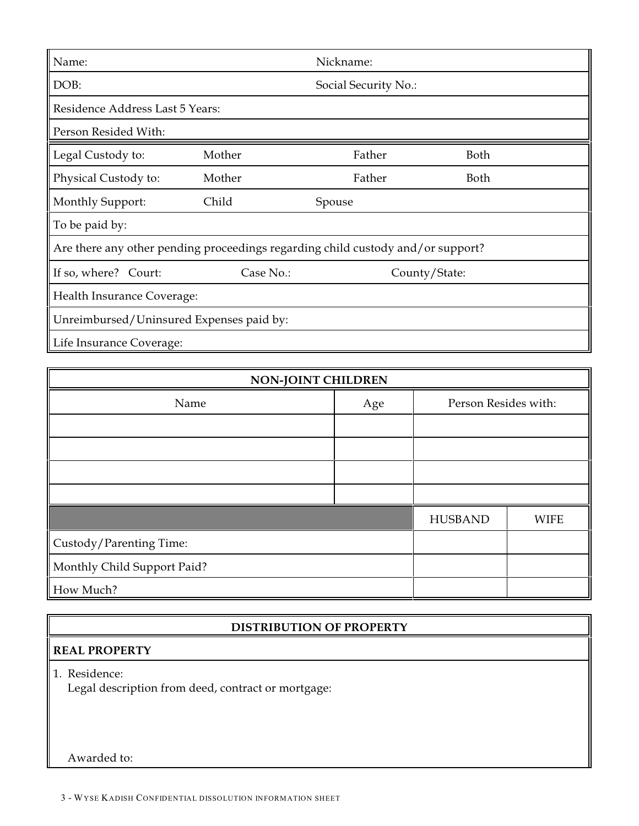| Name:                                                                           |           | Nickname:            |               |  |
|---------------------------------------------------------------------------------|-----------|----------------------|---------------|--|
|                                                                                 |           |                      |               |  |
| DOB:                                                                            |           | Social Security No.: |               |  |
| Residence Address Last 5 Years:                                                 |           |                      |               |  |
| Person Resided With:                                                            |           |                      |               |  |
| Legal Custody to:                                                               | Mother    | Father               | Both          |  |
| Physical Custody to:                                                            | Mother    | Father               | Both          |  |
| Monthly Support:                                                                | Child     | Spouse               |               |  |
| To be paid by:                                                                  |           |                      |               |  |
| Are there any other pending proceedings regarding child custody and/or support? |           |                      |               |  |
| If so, where? Court:                                                            | Case No.: |                      | County/State: |  |
| Health Insurance Coverage:                                                      |           |                      |               |  |
| Unreimbursed/Uninsured Expenses paid by:                                        |           |                      |               |  |
| Life Insurance Coverage:                                                        |           |                      |               |  |

| <b>NON-JOINT CHILDREN</b>   |     |                      |             |  |  |
|-----------------------------|-----|----------------------|-------------|--|--|
| Name                        | Age | Person Resides with: |             |  |  |
|                             |     |                      |             |  |  |
|                             |     |                      |             |  |  |
|                             |     |                      |             |  |  |
|                             |     |                      |             |  |  |
|                             |     | <b>HUSBAND</b>       | <b>WIFE</b> |  |  |
| Custody/Parenting Time:     |     |                      |             |  |  |
| Monthly Child Support Paid? |     |                      |             |  |  |
| How Much?                   |     |                      |             |  |  |

# **DISTRIBUTION OF PROPERTY**

## **REAL PROPERTY**

1. Residence: Legal description from deed, contract or mortgage:

Awarded to: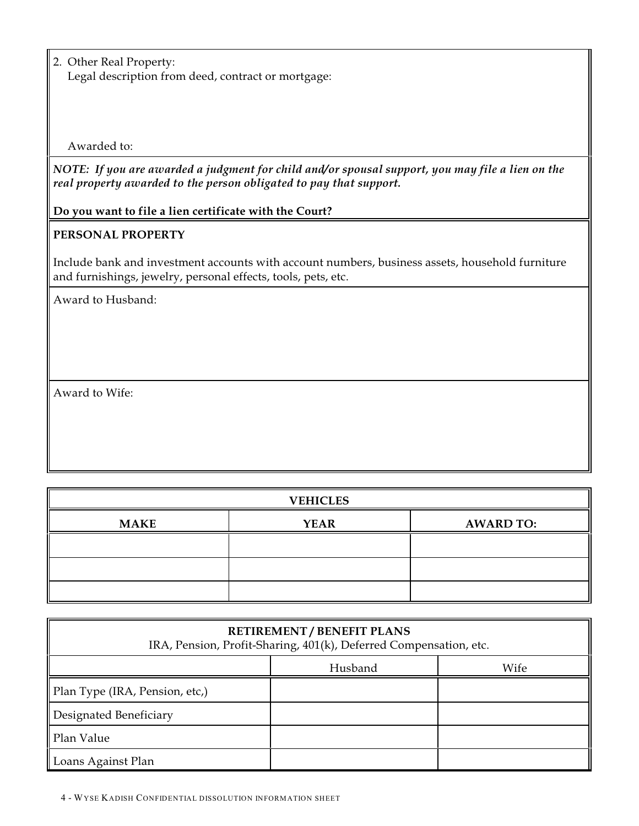2. Other Real Property: Legal description from deed, contract or mortgage:

Awarded to:

*NOTE: If you are awarded a judgment for child and/or spousal support, you may file a lien on the real property awarded to the person obligated to pay that support.*

**Do you want to file a lien certificate with the Court?**

## **PERSONAL PROPERTY**

Include bank and investment accounts with account numbers, business assets, household furniture and furnishings, jewelry, personal effects, tools, pets, etc.

Award to Husband:

Award to Wife:

| <b>VEHICLES</b> |             |                  |
|-----------------|-------------|------------------|
| <b>MAKE</b>     | <b>YEAR</b> | <b>AWARD TO:</b> |
|                 |             |                  |
|                 |             |                  |
|                 |             |                  |

| <b>RETIREMENT / BENEFIT PLANS</b><br>IRA, Pension, Profit-Sharing, 401(k), Deferred Compensation, etc. |  |  |  |
|--------------------------------------------------------------------------------------------------------|--|--|--|
| Wife<br>Husband                                                                                        |  |  |  |
| Plan Type (IRA, Pension, etc,)                                                                         |  |  |  |
| Designated Beneficiary                                                                                 |  |  |  |
| Plan Value                                                                                             |  |  |  |
| Loans Against Plan                                                                                     |  |  |  |

4 - WYSE KADISH CONFIDENTIAL DISSOLUTION INFORMATION SHEET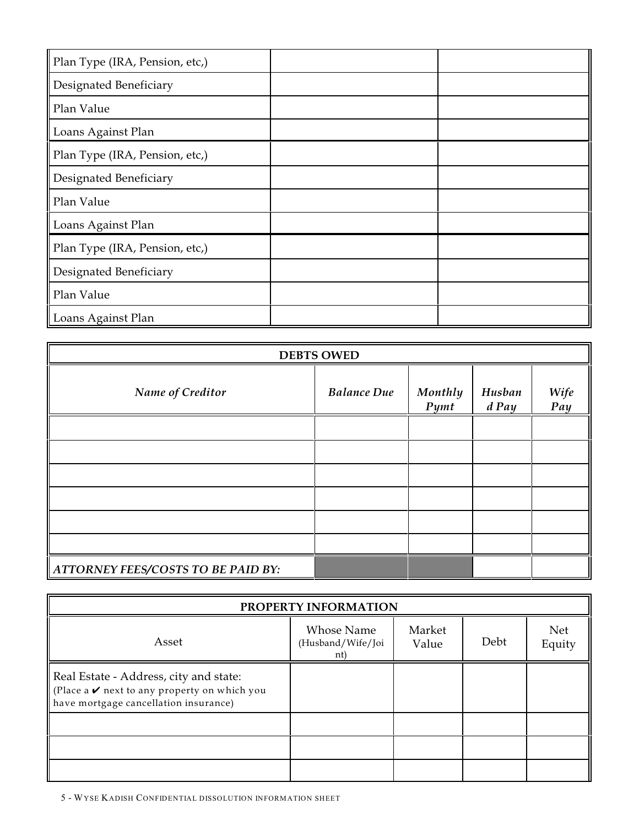| Plan Type (IRA, Pension, etc,) |  |
|--------------------------------|--|
| Designated Beneficiary         |  |
| Plan Value                     |  |
| Loans Against Plan             |  |
| Plan Type (IRA, Pension, etc,) |  |
| Designated Beneficiary         |  |
| Plan Value                     |  |
| Loans Against Plan             |  |
| Plan Type (IRA, Pension, etc,) |  |
| Designated Beneficiary         |  |
| Plan Value                     |  |
| Loans Against Plan             |  |

| <b>DEBTS OWED</b>                         |                    |                               |                   |             |
|-------------------------------------------|--------------------|-------------------------------|-------------------|-------------|
| Name of Creditor                          | <b>Balance Due</b> | <b>Monthly</b><br><b>Pymt</b> | Husban<br>$d$ Pay | Wife<br>Pay |
|                                           |                    |                               |                   |             |
|                                           |                    |                               |                   |             |
|                                           |                    |                               |                   |             |
|                                           |                    |                               |                   |             |
|                                           |                    |                               |                   |             |
|                                           |                    |                               |                   |             |
| <b>ATTORNEY FEES/COSTS TO BE PAID BY:</b> |                    |                               |                   |             |

| PROPERTY INFORMATION                                                                                                                             |                                        |                 |      |               |
|--------------------------------------------------------------------------------------------------------------------------------------------------|----------------------------------------|-----------------|------|---------------|
| Asset                                                                                                                                            | Whose Name<br>(Husband/Wife/Joi<br>nt) | Market<br>Value | Debt | Net<br>Equity |
| Real Estate - Address, city and state:<br>(Place a $\boldsymbol{\nu}$ next to any property on which you<br>have mortgage cancellation insurance) |                                        |                 |      |               |
|                                                                                                                                                  |                                        |                 |      |               |
|                                                                                                                                                  |                                        |                 |      |               |
|                                                                                                                                                  |                                        |                 |      |               |

5 - WYSE KADISH CONFIDENTIAL DISSOLUTION INFORMATION SHEET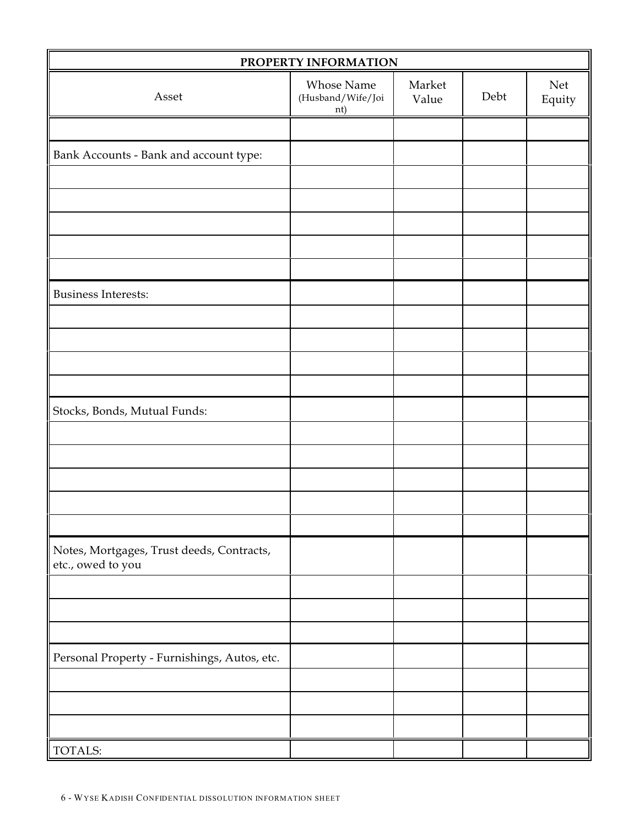| PROPERTY INFORMATION                                           |                                        |                 |      |               |
|----------------------------------------------------------------|----------------------------------------|-----------------|------|---------------|
| Asset                                                          | Whose Name<br>(Husband/Wife/Joi<br>nt) | Market<br>Value | Debt | Net<br>Equity |
|                                                                |                                        |                 |      |               |
| Bank Accounts - Bank and account type:                         |                                        |                 |      |               |
|                                                                |                                        |                 |      |               |
|                                                                |                                        |                 |      |               |
|                                                                |                                        |                 |      |               |
|                                                                |                                        |                 |      |               |
|                                                                |                                        |                 |      |               |
| <b>Business Interests:</b>                                     |                                        |                 |      |               |
|                                                                |                                        |                 |      |               |
|                                                                |                                        |                 |      |               |
|                                                                |                                        |                 |      |               |
|                                                                |                                        |                 |      |               |
| Stocks, Bonds, Mutual Funds:                                   |                                        |                 |      |               |
|                                                                |                                        |                 |      |               |
|                                                                |                                        |                 |      |               |
|                                                                |                                        |                 |      |               |
|                                                                |                                        |                 |      |               |
|                                                                |                                        |                 |      |               |
| Notes, Mortgages, Trust deeds, Contracts,<br>etc., owed to you |                                        |                 |      |               |
|                                                                |                                        |                 |      |               |
|                                                                |                                        |                 |      |               |
|                                                                |                                        |                 |      |               |
| Personal Property - Furnishings, Autos, etc.                   |                                        |                 |      |               |
|                                                                |                                        |                 |      |               |
|                                                                |                                        |                 |      |               |
|                                                                |                                        |                 |      |               |
| TOTALS:                                                        |                                        |                 |      |               |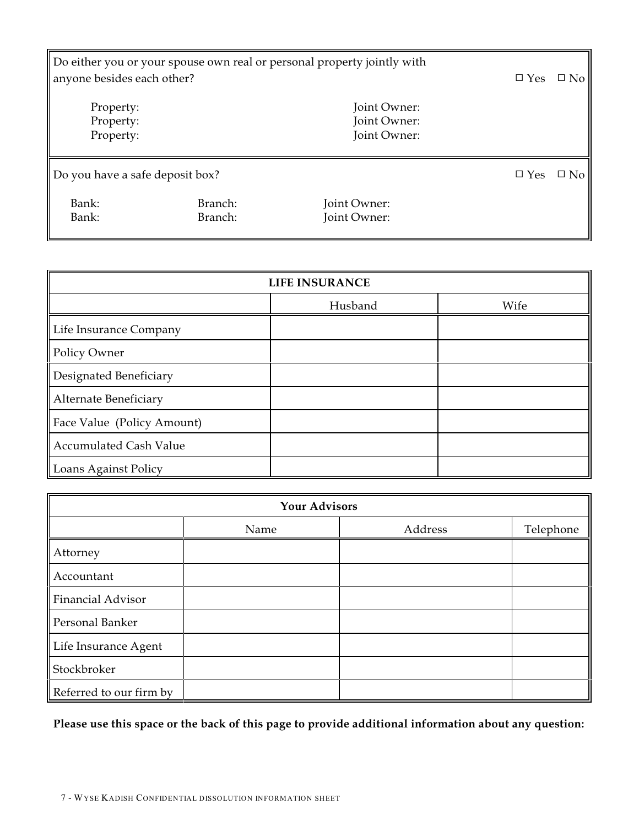| Do either you or your spouse own real or personal property jointly with<br>anyone besides each other? | $\square$ Yes      | $\Box$ No                                    |               |           |
|-------------------------------------------------------------------------------------------------------|--------------------|----------------------------------------------|---------------|-----------|
| Property:<br>Property:<br>Property:                                                                   |                    | Joint Owner:<br>Joint Owner:<br>Joint Owner: |               |           |
| Do you have a safe deposit box?                                                                       |                    |                                              | $\square$ Yes | $\Box$ No |
| Bank:<br>Bank:                                                                                        | Branch:<br>Branch: | Joint Owner:<br>Joint Owner:                 |               |           |

| <b>LIFE INSURANCE</b>         |         |      |  |  |  |
|-------------------------------|---------|------|--|--|--|
|                               | Husband | Wife |  |  |  |
| Life Insurance Company        |         |      |  |  |  |
| Policy Owner                  |         |      |  |  |  |
| Designated Beneficiary        |         |      |  |  |  |
| Alternate Beneficiary         |         |      |  |  |  |
| Face Value (Policy Amount)    |         |      |  |  |  |
| <b>Accumulated Cash Value</b> |         |      |  |  |  |
| Loans Against Policy          |         |      |  |  |  |

| <b>Your Advisors</b>     |      |         |           |  |  |
|--------------------------|------|---------|-----------|--|--|
|                          | Name | Address | Telephone |  |  |
| Attorney                 |      |         |           |  |  |
| Accountant               |      |         |           |  |  |
| <b>Financial Advisor</b> |      |         |           |  |  |
| Personal Banker          |      |         |           |  |  |
| Life Insurance Agent     |      |         |           |  |  |
| Stockbroker              |      |         |           |  |  |
| Referred to our firm by  |      |         |           |  |  |

**Please use this space or the back of this page to provide additional information about any question:**